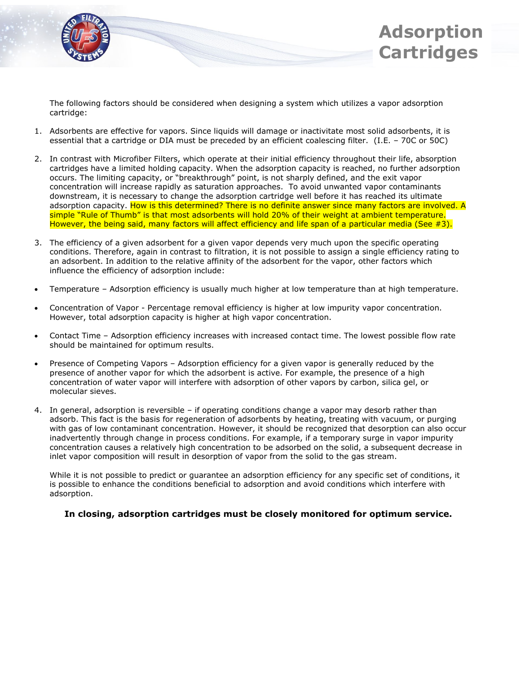



The following factors should be considered when designing a system which utilizes a vapor adsorption cartridge:

- 1. Adsorbents are effective for vapors. Since liquids will damage or inactivitate most solid adsorbents, it is essential that a cartridge or DIA must be preceded by an efficient coalescing filter. (I.E. – 70C or 50C)
- 2. In contrast with Microfiber Filters, which operate at their initial efficiency throughout their life, absorption cartridges have a limited holding capacity. When the adsorption capacity is reached, no further adsorption occurs. The limiting capacity, or "breakthrough" point, is not sharply defined, and the exit vapor concentration will increase rapidly as saturation approaches. To avoid unwanted vapor contaminants downstream, it is necessary to change the adsorption cartridge well before it has reached its ultimate adsorption capacity. How is this determined? There is no definite answer since many factors are involved. A simple "Rule of Thumb" is that most adsorbents will hold 20% of their weight at ambient temperature. However, the being said, many factors will affect efficiency and life span of a particular media (See #3).
- 3. The efficiency of a given adsorbent for a given vapor depends very much upon the specific operating conditions. Therefore, again in contrast to filtration, it is not possible to assign a single efficiency rating to an adsorbent. In addition to the relative affinity of the adsorbent for the vapor, other factors which influence the efficiency of adsorption include:
- Temperature Adsorption efficiency is usually much higher at low temperature than at high temperature.
- Concentration of Vapor Percentage removal efficiency is higher at low impurity vapor concentration. However, total adsorption capacity is higher at high vapor concentration.
- Contact Time Adsorption efficiency increases with increased contact time. The lowest possible flow rate should be maintained for optimum results.
- Presence of Competing Vapors Adsorption efficiency for a given vapor is generally reduced by the presence of another vapor for which the adsorbent is active. For example, the presence of a high concentration of water vapor will interfere with adsorption of other vapors by carbon, silica gel, or molecular sieves.
- 4. In general, adsorption is reversible if operating conditions change a vapor may desorb rather than adsorb. This fact is the basis for regeneration of adsorbents by heating, treating with vacuum, or purging with gas of low contaminant concentration. However, it should be recognized that desorption can also occur inadvertently through change in process conditions. For example, if a temporary surge in vapor impurity concentration causes a relatively high concentration to be adsorbed on the solid, a subsequent decrease in inlet vapor composition will result in desorption of vapor from the solid to the gas stream.

While it is not possible to predict or guarantee an adsorption efficiency for any specific set of conditions, it is possible to enhance the conditions beneficial to adsorption and avoid conditions which interfere with adsorption.

## **In closing, adsorption cartridges must be closely monitored for optimum service.**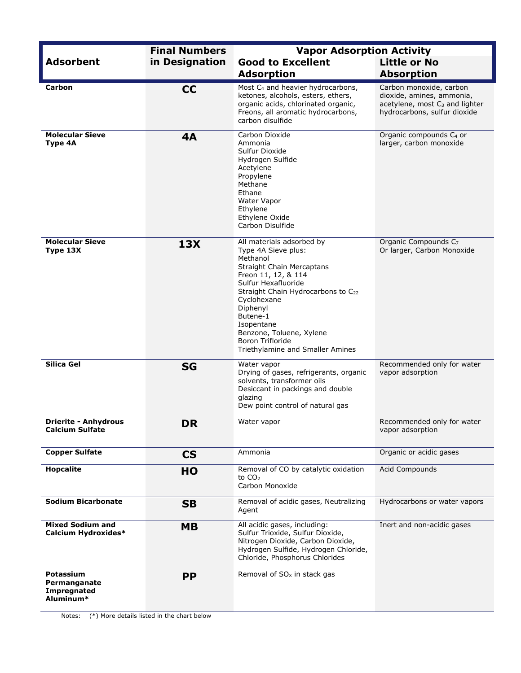|                                                       | <b>Final Numbers</b> | <b>Vapor Adsorption Activity</b>                                                                                                                                                                                                                                                                                              |                                                                                                                                    |  |  |
|-------------------------------------------------------|----------------------|-------------------------------------------------------------------------------------------------------------------------------------------------------------------------------------------------------------------------------------------------------------------------------------------------------------------------------|------------------------------------------------------------------------------------------------------------------------------------|--|--|
| <b>Adsorbent</b>                                      | in Designation       | <b>Good to Excellent</b>                                                                                                                                                                                                                                                                                                      | <b>Little or No</b>                                                                                                                |  |  |
|                                                       |                      | <b>Adsorption</b>                                                                                                                                                                                                                                                                                                             | <b>Absorption</b>                                                                                                                  |  |  |
| Carbon                                                | <b>CC</b>            | Most C <sub>4</sub> and heavier hydrocarbons,<br>ketones, alcohols, esters, ethers,<br>organic acids, chlorinated organic,<br>Freons, all aromatic hydrocarbons,<br>carbon disulfide                                                                                                                                          | Carbon monoxide, carbon<br>dioxide, amines, ammonia,<br>acetylene, most C <sub>3</sub> and lighter<br>hydrocarbons, sulfur dioxide |  |  |
| <b>Molecular Sieve</b><br>Type 4A                     | 4A                   | Carbon Dioxide<br>Ammonia<br>Sulfur Dioxide<br>Hydrogen Sulfide<br>Acetylene<br>Propylene<br>Methane<br>Ethane<br>Water Vapor<br>Ethylene<br>Ethylene Oxide<br>Carbon Disulfide                                                                                                                                               | Organic compounds C <sub>4</sub> or<br>larger, carbon monoxide                                                                     |  |  |
| <b>Molecular Sieve</b><br>Type 13X                    | <b>13X</b>           | All materials adsorbed by<br>Type 4A Sieve plus:<br>Methanol<br><b>Straight Chain Mercaptans</b><br>Freon 11, 12, & 114<br>Sulfur Hexafluoride<br>Straight Chain Hydrocarbons to C22<br>Cyclohexane<br>Diphenyl<br>Butene-1<br>Isopentane<br>Benzone, Toluene, Xylene<br>Boron Trifloride<br>Triethylamine and Smaller Amines | Organic Compounds C <sub>7</sub><br>Or larger, Carbon Monoxide                                                                     |  |  |
| Silica Gel                                            | <b>SG</b>            | Water vapor<br>Drying of gases, refrigerants, organic<br>solvents, transformer oils<br>Desiccant in packings and double<br>glazing<br>Dew point control of natural gas                                                                                                                                                        | Recommended only for water<br>vapor adsorption                                                                                     |  |  |
| <b>Drierite - Anhydrous</b><br><b>Calcium Sulfate</b> | <b>DR</b>            | Water vapor                                                                                                                                                                                                                                                                                                                   | Recommended only for water<br>vapor adsorption                                                                                     |  |  |
| <b>Copper Sulfate</b>                                 | <b>CS</b>            | Ammonia                                                                                                                                                                                                                                                                                                                       | Organic or acidic gases                                                                                                            |  |  |
| <b>Hopcalite</b>                                      | HO                   | Removal of CO by catalytic oxidation<br>to CO <sub>2</sub><br>Carbon Monoxide                                                                                                                                                                                                                                                 | Acid Compounds                                                                                                                     |  |  |
| <b>Sodium Bicarbonate</b>                             | <b>SB</b>            | Removal of acidic gases, Neutralizing<br>Agent                                                                                                                                                                                                                                                                                | Hydrocarbons or water vapors                                                                                                       |  |  |
| <b>Mixed Sodium and</b><br>Calcium Hydroxides*        | <b>MB</b>            | All acidic gases, including:<br>Sulfur Trioxide, Sulfur Dioxide,<br>Nitrogen Dioxide, Carbon Dioxide,<br>Hydrogen Sulfide, Hydrogen Chloride,<br>Chloride, Phosphorus Chlorides                                                                                                                                               | Inert and non-acidic gases                                                                                                         |  |  |
| Potassium<br>Permanganate<br>Impregnated<br>Aluminum* | <b>PP</b>            | Removal of $SOx$ in stack gas                                                                                                                                                                                                                                                                                                 |                                                                                                                                    |  |  |

Notes: (\*) More details listed in the chart below